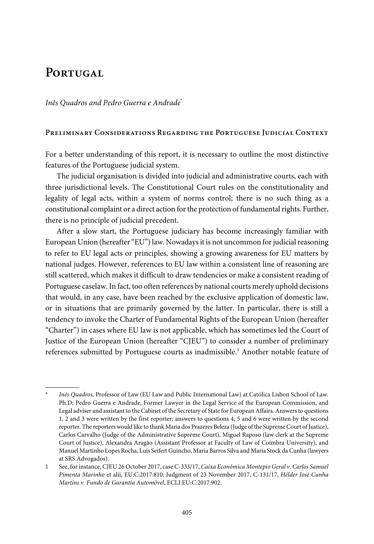# PORTUGAL

Inês Quadros and Pedro Guerra e Andrade\*

# **Preliminary Considerations Regarding the Portuguese Judicial Context**

For a better understanding of this report, it is necessary to outline the most distinctive features of the Portuguese judicial system.

The judicial organisation is divided into judicial and administrative courts, each with three jurisdictional levels. The Constitutional Court rules on the constitutionality and legality of legal acts, within a system of norms control; there is no such thing as a constitutional complaint or a direct action for the protection of fundamental rights. Further, there is no principle of judicial precedent.

After a slow start, the Portuguese judiciary has become increasingly familiar with European Union (hereafter "EU") law. Nowadays it is not uncommon for judicial reasoning to refer to EU legal acts or principles, showing a growing awareness for EU matters by national judges. However, references to EU law within a consistent line of reasoning are still scattered, which makes it difficult to draw tendencies or make a consistent reading of Portuguese caselaw.In fact, too often references by national courts merely uphold decisions that would, in any case, have been reached by the exclusive application of domestic law, or in situations that are primarily governed by the latter. In particular, there is still a tendency to invoke the Charter of Fundamental Rights of the European Union (hereafter "Charter") in cases where EU law is not applicable, which has sometimes led the Court of Justice of the European Union (hereafter "CJEU") to consider a number of preliminary references submitted by Portuguese courts as inadmissible.<sup>1</sup> Another notable feature of

<sup>\*</sup> Inês Quadros, Professor of Law (EU Law and Public International Law) at Católica Lisbon School of Law. Ph.D; Pedro Guerra e Andrade, Former Lawyer in the Legal Service of the European Commission, and Legal adviser and assistant to the Cabinet of the Secretary of State for European Affairs. Answers to questions 1, 2 and 3 were written by the first reporter; answers to questions 4, 5 and 6 were written by the second reporter. The reporters would like to thank Maria dos Prazeres Beleza (Judge of the Supreme Court of Justice), Carlos Carvalho (Judge of the Administrative Supreme Court), Miguel Raposo (law clerk at the Supreme Court of Justice), Alexandra Aragão (Assistant Professor at Faculty of Law of Coimbra University), and Manuel Martinho Lopes Rocha, Luís Seifert Guincho, Maria Barros Silva and Maria Stock da Cunha (lawyers at SRS Advogados).

<sup>1</sup> See, forinstance, CJEU 26 October 2017, case C-333/17, Caixa Económica Montepio Geral v. Carlos Samuel Pimenta Marinho et alii, EU:C:2017:810; Judgment of 23 November 2017, C-131/17, Hélder José Cunha Martins v. Fundo de Garantia Automóvel, ECLI:EU:C:2017:902.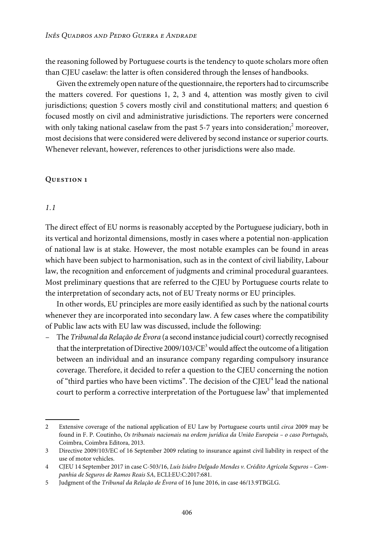the reasoning followed by Portuguese courts is the tendency to quote scholars more often than CJEU caselaw: the latter is often considered through the lenses of handbooks.

Given the extremely open nature of the questionnaire, the reporters had to circumscribe the matters covered. For questions 1, 2, 3 and 4, attention was mostly given to civil jurisdictions; question 5 covers mostly civil and constitutional matters; and question 6 focused mostly on civil and administrative jurisdictions. The reporters were concerned with only taking national caselaw from the past 5-7 years into consideration; $<sup>2</sup>$  moreover,</sup> most decisions that were considered were delivered by second instance or superior courts. Whenever relevant, however, references to other jurisdictions were also made.

#### **Question 1**

#### 1.1

The direct effect of EU norms is reasonably accepted by the Portuguese judiciary, both in its vertical and horizontal dimensions, mostly in cases where a potential non-application of national law is at stake. However, the most notable examples can be found in areas which have been subject to harmonisation, such as in the context of civil liability, Labour law, the recognition and enforcement of judgments and criminal procedural guarantees. Most preliminary questions that are referred to the CJEU by Portuguese courts relate to the interpretation of secondary acts, not of EU Treaty norms or EU principles.

In other words, EU principles are more easily identified as such by the national courts whenever they are incorporated into secondary law. A few cases where the compatibility of Public law acts with EU law was discussed, include the following:

– The Tribunal da Relação de Évora (a second instance judicial court) correctly recognised that the interpretation of Directive  $2009/103/CE^3$  would affect the outcome of a litigation between an individual and an insurance company regarding compulsory insurance coverage. Therefore, it decided to refer a question to the CJEU concerning the notion of "third parties who have been victims". The decision of the CJEU<sup>4</sup> lead the national court to perform a corrective interpretation of the Portuguese law<sup>5</sup> that implemented

<sup>2</sup> Extensive coverage of the national application of EU Law by Portuguese courts until circa 2009 may be found in F. P. Coutinho, Os tribunais nacionais na ordem jurídica da União Europeia – o caso Português, Coimbra, Coimbra Editora, 2013.

<sup>3</sup> Directive 2009/103/EC of 16 September 2009 relating to insurance against civil liability in respect of the use of motor vehicles.

<sup>4</sup> CJEU 14 September 2017 in case C-503/16, Luís Isidro Delgado Mendes v. Crédito Agrícola Seguros – Companhia de Seguros de Ramos Reais SA, ECLI:EU:C:2017:681.

<sup>5</sup> Judgment of the Tribunal da Relação de Évora of 16 June 2016, in case 46/13.9TBGLG.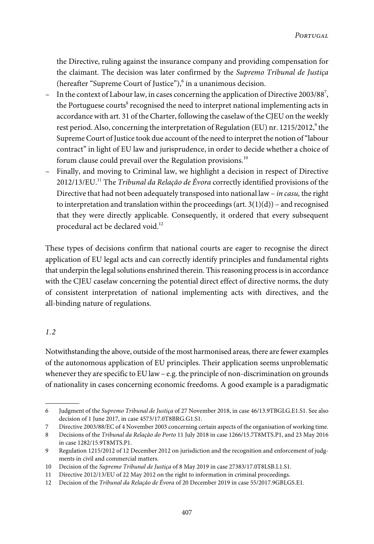the Directive, ruling against the insurance company and providing compensation for the claimant. The decision was later confirmed by the Supremo Tribunal de Justiça (hereafter "Supreme Court of Justice"),<sup>6</sup> in a unanimous decision.

- In the context of Labour law, in cases concerning the application of Directive 2003/88<sup>7</sup>, the Portuguese courts<sup>8</sup> recognised the need to interpret national implementing acts in accordance with art. 31 of the Charter, following the caselaw of the CJEU on the weekly rest period. Also, concerning the interpretation of Regulation (EU) nr. 1215/2012, $^{\circ}$  the Supreme Court of Justice took due account of the need to interpret the notion of "labour contract" in light of EU law and jurisprudence, in order to decide whether a choice of forum clause could prevail over the Regulation provisions.<sup>10</sup>
- Finally, and moving to Criminal law, we highlight a decision in respect of Directive 2012/13/EU.<sup>11</sup> The *Tribunal da Relação de Évora* correctly identified provisions of the Directive that had not been adequately transposed into national law – in casu, the right to interpretation and translation within the proceedings (art.  $3(1)(d)$ ) – and recognised that they were directly applicable. Consequently, it ordered that every subsequent procedural act be declared void.<sup>12</sup>

These types of decisions confirm that national courts are eager to recognise the direct application of EU legal acts and can correctly identify principles and fundamental rights that underpin the legal solutions enshrined therein. This reasoning process is in accordance with the CJEU caselaw concerning the potential direct effect of directive norms, the duty of consistent interpretation of national implementing acts with directives, and the all-binding nature of regulations.

# 1.2

Notwithstanding the above, outside of the most harmonised areas, there are fewer examples of the autonomous application of EU principles. Their application seems unproblematic whenever they are specific to EU law – e.g. the principle of non-discrimination on grounds of nationality in cases concerning economic freedoms. A good example is a paradigmatic

<sup>6</sup> Judgment of the Supremo Tribunal de Justiça of 27 November 2018, in case 46/13.9TBGLG.E1.S1. See also decision of 1 June 2017, in case 4573/17.0T8BRG.G1.S1.

<sup>7</sup> Directive 2003/88/EC of 4 November 2003 concerning certain aspects of the organisation of working time.

<sup>8</sup> Decisions of the Tribunal da Relação do Porto 11 July 2018 in case 1266/15.7T8MTS.P1, and 23 May 2016 in case 1282/15.9T8MTS.P1.

<sup>9</sup> Regulation 1215/2012 of 12 December 2012 on jurisdiction and the recognition and enforcement of judgments in civil and commercial matters.

<sup>10</sup> Decision of the Supremo Tribunal de Justiça of 8 May 2019 in case 27383/17.0T8LSB.L1.S1.

<sup>11</sup> Directive 2012/13/EU of 22 May 2012 on the right to information in criminal proceedings.

<sup>12</sup> Decision of the Tribunal da Relação de Évora of 20 December 2019 in case 55/2017.9GBLGS.E1.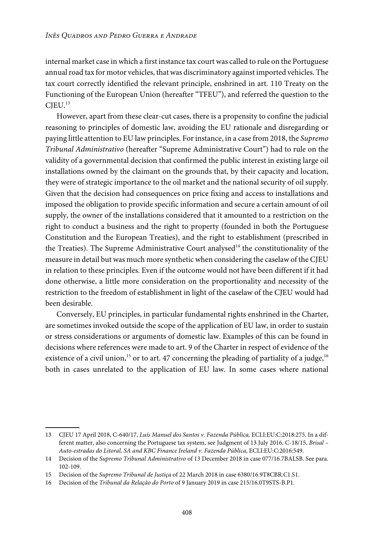internal market case in which a first instance tax court was called to rule on the Portuguese annual road tax for motor vehicles, that was discriminatory against imported vehicles. The tax court correctly identified the relevant principle, enshrined in art. 110 Treaty on the Functioning of the European Union (hereafter "TFEU"), and referred the question to the  $CIEU.<sup>13</sup>$ 

However, apart from these clear-cut cases, there is a propensity to confine the judicial reasoning to principles of domestic law, avoiding the EU rationale and disregarding or paying little attention to EU law principles. For instance, in a case from 2018, the Supremo Tribunal Administrativo (hereafter "Supreme Administrative Court") had to rule on the validity of a governmental decision that confirmed the public interest in existing large oil installations owned by the claimant on the grounds that, by their capacity and location, they were of strategic importance to the oil market and the national security of oil supply. Given that the decision had consequences on price fixing and access to installations and imposed the obligation to provide specific information and secure a certain amount of oil supply, the owner of the installations considered that it amounted to a restriction on the right to conduct a business and the right to property (founded in both the Portuguese Constitution and the European Treaties), and the right to establishment (prescribed in the Treaties). The Supreme Administrative Court analysed $14$  the constitutionality of the measure in detail but was much more synthetic when considering the caselaw of the CJEU in relation to these principles. Even if the outcome would not have been different if it had done otherwise, a little more consideration on the proportionality and necessity of the restriction to the freedom of establishment in light of the caselaw of the CJEU would had been desirable.

Conversely, EU principles, in particular fundamental rights enshrined in the Charter, are sometimes invoked outside the scope of the application of EU law, in order to sustain or stress considerations or arguments of domestic law. Examples of this can be found in decisions where references were made to art. 9 of the Charter in respect of evidence of the existence of a civil union,<sup>15</sup> or to art. 47 concerning the pleading of partiality of a judge,<sup>16</sup> both in cases unrelated to the application of EU law. In some cases where national

<sup>13</sup> CJEU 17 April 2018, C-640/17, Luís Manuel dos Santos v. Fazenda Pública, ECLI:EU:C:2018:275. In a different matter, also concerning the Portuguese tax system, see Judgment of 13 July 2016, C-18/15, Brisal – Auto-estradas do Litoral, SA and KBC Finance Ireland v. Fazenda Pública, ECLI:EU:C:2016:549.

<sup>14</sup> Decision of the Supremo Tribunal Administrativo of 13 December 2018 in case 077/16.7BALSB. See para. 102-109.

<sup>15</sup> Decision of the Supremo Tribunal de Justiça of 22 March 2018 in case 6380/16.9T8CBR.C1.S1.

<sup>16</sup> Decision of the Tribunal da Relação do Porto of 9 January 2019 in case 215/16.0T9STS-B.P1.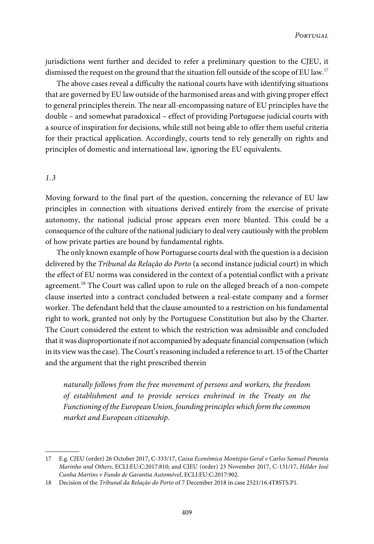jurisdictions went further and decided to refer a preliminary question to the CJEU, it dismissed the request on the ground that the situation fell outside of the scope of EU law.<sup>17</sup>

The above cases reveal a difficulty the national courts have with identifying situations that are governed by EU law outside of the harmonised areas and with giving proper effect to general principles therein. The near all-encompassing nature of EU principles have the double – and somewhat paradoxical – effect of providing Portuguese judicial courts with a source of inspiration for decisions, while still not being able to offer them useful criteria for their practical application. Accordingly, courts tend to rely generally on rights and principles of domestic and international law, ignoring the EU equivalents.

#### 1.3

Moving forward to the final part of the question, concerning the relevance of EU law principles in connection with situations derived entirely from the exercise of private autonomy, the national judicial prose appears even more blunted. This could be a consequence of the culture of the national judiciary to deal very cautiouslywith the problem of how private parties are bound by fundamental rights.

The only known example of how Portuguese courts deal with the question is a decision delivered by the Tribunal da Relação do Porto (a second instance judicial court) in which the effect of EU norms was considered in the context of a potential conflict with a private agreement.<sup>18</sup> The Court was called upon to rule on the alleged breach of a non-compete clause inserted into a contract concluded between a real-estate company and a former worker. The defendant held that the clause amounted to a restriction on his fundamental right to work, granted not only by the Portuguese Constitution but also by the Charter. The Court considered the extent to which the restriction was admissible and concluded that itwas disproportionate if not accompanied by adequate financial compensation (which in its view was the case). The Court's reasoning included a reference to art. 15 of the Charter and the argument that the right prescribed therein

naturally follows from the free movement of persons and workers, the freedom of establishment and to provide services enshrined in the Treaty on the Functioning of the European Union, founding principles which form the common market and European citizenship.

<sup>17</sup> E.g. CJEU (order) 26 October 2017, C-333/17, Caixa Económica Montepio Geral v Carlos Samuel Pimenta Marinho and Others, ECLI:EU:C:2017:810; and CJEU (order) 23 November 2017, C-131/17, Hélder José Cunha Martins v Fundo de Garantia Automóvel, ECLI:EU:C:2017:902.

<sup>18</sup> Decision of the Tribunal da Relação do Porto of 7 December 2018 in case 2521/16.4T8STS.P1.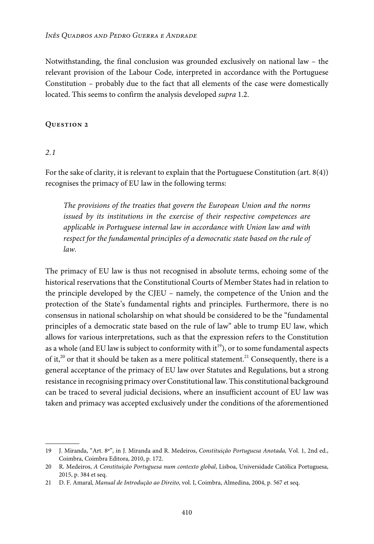Notwithstanding, the final conclusion was grounded exclusively on national law – the relevant provision of the Labour Code, interpreted in accordance with the Portuguese Constitution – probably due to the fact that all elements of the case were domestically located. This seems to confirm the analysis developed supra 1.2.

# **Question 2**

# 2.1

For the sake of clarity, it is relevant to explain that the Portuguese Constitution (art. 8(4)) recognises the primacy of EU law in the following terms:

The provisions of the treaties that govern the European Union and the norms issued by its institutions in the exercise of their respective competences are applicable in Portuguese internal law in accordance with Union law and with respect for the fundamental principles of a democratic state based on the rule of law.

The primacy of EU law is thus not recognised in absolute terms, echoing some of the historical reservations that the Constitutional Courts of Member States had in relation to the principle developed by the CJEU – namely, the competence of the Union and the protection of the State's fundamental rights and principles. Furthermore, there is no consensus in national scholarship on what should be considered to be the "fundamental principles of a democratic state based on the rule of law" able to trump EU law, which allows for various interpretations, such as that the expression refers to the Constitution as a whole (and EU law is subject to conformity with it<sup>19</sup>), or to some fundamental aspects of it,<sup>20</sup> or that it should be taken as a mere political statement.<sup>21</sup> Consequently, there is a general acceptance of the primacy of EU law over Statutes and Regulations, but a strong resistance in recognising primacy over Constitutional law. This constitutional background can be traced to several judicial decisions, where an insufficient account of EU law was taken and primacy was accepted exclusively under the conditions of the aforementioned

<sup>19</sup> J. Miranda, "Art. 8º", in J. Miranda and R. Medeiros, Constituição Portuguesa Anotada, Vol. 1, 2nd ed., Coimbra, Coimbra Editora, 2010, p. 172.

<sup>20</sup> R. Medeiros, A Constituição Portuguesa num contexto global, Lisboa, Universidade Católica Portuguesa, 2015, p. 384 et seq.

<sup>21</sup> D. F. Amaral, Manual de Introdução ao Direito, vol. I, Coimbra, Almedina, 2004, p. 567 et seq.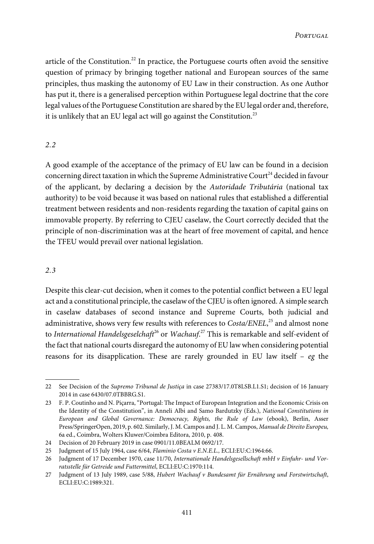article of the Constitution.<sup>22</sup> In practice, the Portuguese courts often avoid the sensitive question of primacy by bringing together national and European sources of the same principles, thus masking the autonomy of EU Law in their construction. As one Author has put it, there is a generalised perception within Portuguese legal doctrine that the core legal values of the Portuguese Constitution are shared by the EU legal order and, therefore, it is unlikely that an EU legal act will go against the Constitution.<sup>23</sup>

# 2.2

A good example of the acceptance of the primacy of EU law can be found in a decision concerning direct taxation in which the Supreme Administrative Court<sup>24</sup> decided in favour of the applicant, by declaring a decision by the Autoridade Tributária (national tax authority) to be void because it was based on national rules that established a differential treatment between residents and non-residents regarding the taxation of capital gains on immovable property. By referring to CJEU caselaw, the Court correctly decided that the principle of non-discrimination was at the heart of free movement of capital, and hence the TFEU would prevail over national legislation.

# 2.3

Despite this clear-cut decision, when it comes to the potential conflict between a EU legal act and a constitutional principle, the caselaw of the CJEU is often ignored. A simple search in caselaw databases of second instance and Supreme Courts, both judicial and administrative, shows very few results with references to  $\emph{Costa/ENEL,}^{25}$  and almost none to International Handelsgeselchaft $^{26}$  or Wachauf. $^{27}$  This is remarkable and self-evident of the fact that national courts disregard the autonomy of EU lawwhen considering potential reasons for its disapplication. These are rarely grounded in EU law itself – eg the

<sup>22</sup> See Decision of the Supremo Tribunal de Justiça in case 27383/17.0T8LSB.L1.S1; decision of 16 January 2014 in case 6430/07.0TBBRG.S1.

<sup>23</sup> F. P. Coutinho and N. Piçarra, "Portugal: The Impact of European Integration and the Economic Crisis on the Identity of the Constitution", in Anneli Albi and Samo Bardutzky (Eds.), National Constitutions in European and Global Governance: Democracy, Rights, the Rule of Law (ebook), Berlin, Asser Press/SpringerOpen, 2019, p. 602. Similarly, J. M. Campos and J. L. M. Campos, Manual de Direito Europeu, 6a ed., Coimbra, Wolters Kluwer/Coimbra Editora, 2010, p. 408.

<sup>24</sup> Decision of 20 February 2019 in case 0901/11.0BEALM 0692/17.

<sup>25</sup> Judgment of 15 July 1964, case 6/64, Flaminio Costa v E.N.E.L., ECLI:EU:C:1964:66.

<sup>26</sup> Judgment of 17 December 1970, case 11/70, Internationale Handelsgesellschaft mbH v Einfuhr- und Vorratsstelle für Getreide und Futtermittel, ECLI:EU:C:1970:114.

<sup>27</sup> Judgment of 13 July 1989, case 5/88, Hubert Wachauf v Bundesamt für Ernährung und Forstwirtschaft, ECLI:EU:C:1989:321.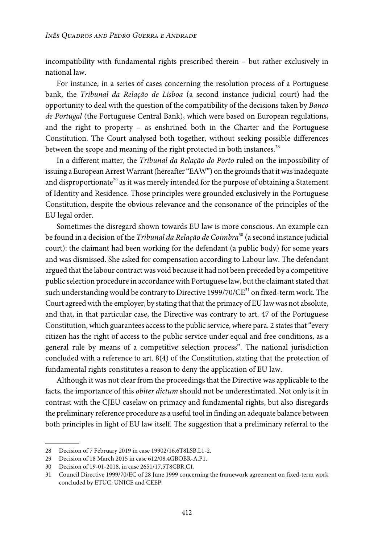incompatibility with fundamental rights prescribed therein – but rather exclusively in national law.

For instance, in a series of cases concerning the resolution process of a Portuguese bank, the Tribunal da Relação de Lisboa (a second instance judicial court) had the opportunity to deal with the question of the compatibility of the decisions taken by Banco de Portugal (the Portuguese Central Bank), which were based on European regulations, and the right to property – as enshrined both in the Charter and the Portuguese Constitution. The Court analysed both together, without seeking possible differences between the scope and meaning of the right protected in both instances.<sup>28</sup>

In a different matter, the Tribunal da Relação do Porto ruled on the impossibility of issuing a European Arrest Warrant (hereafter "EAW") on the grounds that it was inadequate and disproportionate<sup>29</sup> as it was merely intended for the purpose of obtaining a Statement of Identity and Residence. Those principles were grounded exclusively in the Portuguese Constitution, despite the obvious relevance and the consonance of the principles of the EU legal order.

Sometimes the disregard shown towards EU law is more conscious. An example can be found in a decision of the *Tribunal da Relação de Coimbra*<sup>30</sup> (a second instance judicial court): the claimant had been working for the defendant (a public body) for some years and was dismissed. She asked for compensation according to Labour law. The defendant argued that the labour contractwas void because it had not been preceded by a competitive public selection procedure in accordance with Portuguese law, but the claimant stated that such understanding would be contrary to Directive 1999/70/ $CE^{31}$  on fixed-term work. The Court agreed with the employer, by stating that that the primacy of EU law was not absolute, and that, in that particular case, the Directive was contrary to art. 47 of the Portuguese Constitution, which guarantees access to the public service, where para. 2 states that "every citizen has the right of access to the public service under equal and free conditions, as a general rule by means of a competitive selection process". The national jurisdiction concluded with a reference to art. 8(4) of the Constitution, stating that the protection of fundamental rights constitutes a reason to deny the application of EU law.

Although it was not clear from the proceedings that the Directive was applicable to the facts, the importance of this *obiter dictum* should not be underestimated. Not only is it in contrast with the CJEU caselaw on primacy and fundamental rights, but also disregards the preliminary reference procedure as a useful tool in finding an adequate balance between both principles in light of EU law itself. The suggestion that a preliminary referral to the

<sup>28</sup> Decision of 7 February 2019 in case 19902/16.6T8LSB.L1-2.

<sup>29</sup> Decision of 18 March 2015 in case 612/08.4GBOBR-A.P1.

<sup>30</sup> Decision of 19-01-2018, in case 2651/17.5T8CBR.C1.

<sup>31</sup> Council Directive 1999/70/EC of 28 June 1999 concerning the framework agreement on fixed-term work concluded by ETUC, UNICE and CEEP.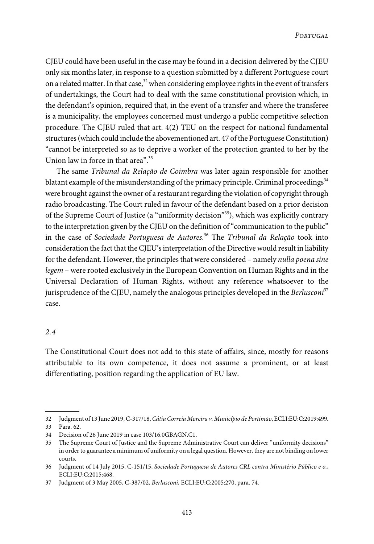CJEU could have been useful in the case may be found in a decision delivered by the CJEU only six months later, in response to a question submitted by a different Portuguese court on a related matter. In that case,  $32$  when considering employee rights in the event of transfers of undertakings, the Court had to deal with the same constitutional provision which, in the defendant's opinion, required that, in the event of a transfer and where the transferee is a municipality, the employees concerned must undergo a public competitive selection procedure. The CJEU ruled that art. 4(2) TEU on the respect for national fundamental structures (which could include the abovementioned art. 47 of the Portuguese Constitution) "cannot be interpreted so as to deprive a worker of the protection granted to her by the Union law in force in that area".<sup>33</sup>

The same Tribunal da Relação de Coimbra was later again responsible for another blatant example of the misunderstanding of the primacy principle. Criminal proceedings<sup>34</sup> were brought against the owner of a restaurantregarding the violation of copyright through radio broadcasting. The Court ruled in favour of the defendant based on a prior decision of the Supreme Court of Justice (a "uniformity decision"<sup>35</sup>), which was explicitly contrary to the interpretation given by the CJEU on the definition of"communication to the public" in the case of Sociedade Portuguesa de Autores. <sup>36</sup> The Tribunal da Relação took into consideration the fact that the CJEU's interpretation of the Directive would result in liability for the defendant. However, the principles that were considered – namely nulla poena sine legem – were rooted exclusively in the European Convention on Human Rights and in the Universal Declaration of Human Rights, without any reference whatsoever to the jurisprudence of the CJEU, namely the analogous principles developed in the Berlusconi<sup>37</sup> case.

## 2.4

The Constitutional Court does not add to this state of affairs, since, mostly for reasons attributable to its own competence, it does not assume a prominent, or at least differentiating, position regarding the application of EU law.

<sup>32</sup> Judgment of 13 June 2019, C-317/18, Cátia Correia Moreira v. Município de Portimão, ECLI:EU:C:2019:499.

<sup>33</sup> Para. 62.

<sup>34</sup> Decision of 26 June 2019 in case 103/16.0GBAGN.C1.

<sup>35</sup> The Supreme Court of Justice and the Supreme Administrative Court can deliver "uniformity decisions" in order to guarantee a minimum of uniformity on a legal question. However, they are not binding on lower courts.

<sup>36</sup> Judgment of 14 July 2015, C-151/15, Sociedade Portuguesa de Autores CRL contra Ministério Público e o., ECLI:EU:C:2015:468.

<sup>37</sup> Judgment of 3 May 2005, C-387/02, Berlusconi, ECLI:EU:C:2005:270, para. 74.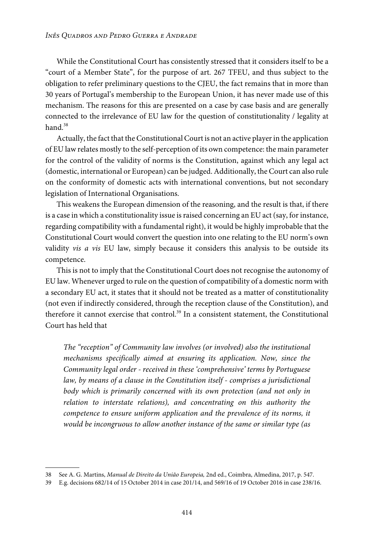While the Constitutional Court has consistently stressed that it considers itself to be a "court of a Member State", for the purpose of art. 267 TFEU, and thus subject to the obligation to refer preliminary questions to the CJEU, the fact remains that in more than 30 years of Portugal's membership to the European Union, it has never made use of this mechanism. The reasons for this are presented on a case by case basis and are generally connected to the irrelevance of EU law for the question of constitutionality / legality at hand $38$ 

Actually, the fact that theConstitutionalCourt is not an active playerin the application of EU law relates mostly to the self-perception of its own competence: the main parameter for the control of the validity of norms is the Constitution, against which any legal act (domestic, international or European) can be judged.Additionally, the Court can also rule on the conformity of domestic acts with international conventions, but not secondary legislation of International Organisations.

This weakens the European dimension of the reasoning, and the result is that, if there is a case in which a constitutionality issue is raised concerning an EU act (say, for instance, regarding compatibility with a fundamental right), it would be highly improbable that the Constitutional Court would convert the question into one relating to the EU norm's own validity *vis a vis* EU law, simply because it considers this analysis to be outside its competence.

This is not to imply that the Constitutional Court does not recognise the autonomy of EU law. Whenever urged to rule on the question of compatibility of a domestic norm with a secondary EU act, it states that it should not be treated as a matter of constitutionality (not even if indirectly considered, through the reception clause of the Constitution), and therefore it cannot exercise that control.<sup>39</sup> In a consistent statement, the Constitutional Court has held that

The "reception" of Community law involves (or involved) also the institutional mechanisms specifically aimed at ensuring its application. Now, since the Community legal order - received in these 'comprehensive' terms by Portuguese law, by means of a clause in the Constitution itself - comprises a jurisdictional body which is primarily concerned with its own protection (and not only in relation to interstate relations), and concentrating on this authority the competence to ensure uniform application and the prevalence of its norms, it would be incongruous to allow another instance of the same or similar type (as

<sup>38</sup> See A. G. Martins, Manual de Direito da União Europeia, 2nd ed., Coimbra, Almedina, 2017, p. 547.

<sup>39</sup> E.g. decisions 682/14 of 15 October 2014 in case 201/14, and 569/16 of 19 October 2016 in case 238/16.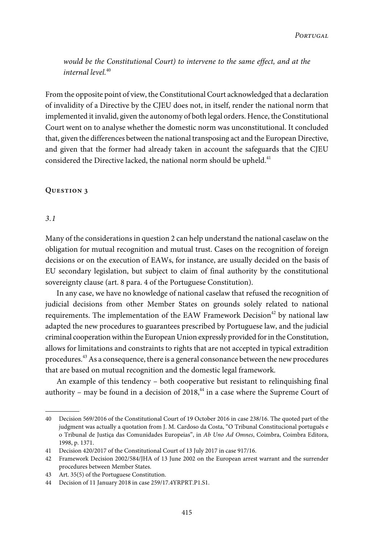would be the Constitutional Court) to intervene to the same effect, and at the  $internal level<sup>40</sup>$ 

From the opposite point of view, the Constitutional Court acknowledged that a declaration of invalidity of a Directive by the CJEU does not, in itself, render the national norm that implemented it invalid, given the autonomy of both legal orders. Hence, the Constitutional Court went on to analyse whether the domestic norm was unconstitutional. It concluded that, given the differences between the national transposing act and the European Directive, and given that the former had already taken in account the safeguards that the CJEU considered the Directive lacked, the national norm should be upheld.<sup>41</sup>

#### **Question 3**

#### 3.1

Many of the considerations in question 2 can help understand the national caselaw on the obligation for mutual recognition and mutual trust. Cases on the recognition of foreign decisions or on the execution of EAWs, for instance, are usually decided on the basis of EU secondary legislation, but subject to claim of final authority by the constitutional sovereignty clause (art. 8 para. 4 of the Portuguese Constitution).

In any case, we have no knowledge of national caselaw that refused the recognition of judicial decisions from other Member States on grounds solely related to national requirements. The implementation of the EAW Framework Decision<sup>42</sup> by national law adapted the new procedures to guarantees prescribed by Portuguese law, and the judicial criminal cooperation within the European Union expressly provided for in the Constitution, allows for limitations and constraints to rights that are not accepted in typical extradition procedures.<sup>43</sup> As a consequence, there is a general consonance between the new procedures that are based on mutual recognition and the domestic legal framework.

An example of this tendency – both cooperative but resistant to relinquishing final authority – may be found in a decision of  $2018$ ,<sup>44</sup> in a case where the Supreme Court of

<sup>40</sup> Decision 569/2016 of the Constitutional Court of 19 October 2016 in case 238/16. The quoted part of the judgment was actually a quotation from J. M. Cardoso da Costa, "O Tribunal Constitucional português e o Tribunal de Justiça das Comunidades Europeias", in Ab Uno Ad Omnes, Coimbra, Coimbra Editora, 1998, p. 1371.

<sup>41</sup> Decision 420/2017 of the Constitutional Court of 13 July 2017 in case 917/16.

<sup>42</sup> Framework Decision 2002/584/JHA of 13 June 2002 on the European arrest warrant and the surrender procedures between Member States.

<sup>43</sup> Art. 35(5) of the Portuguese Constitution.

<sup>44</sup> Decision of 11 January 2018 in case 259/17.4YRPRT.P1.S1.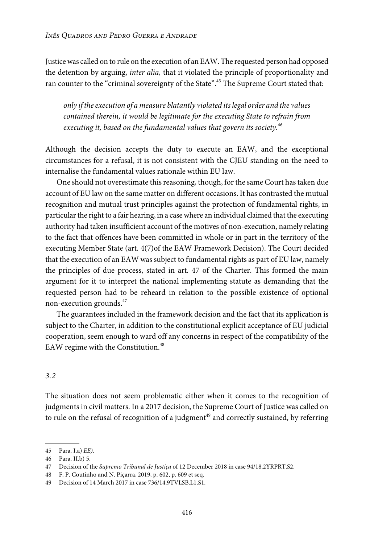Justicewas called on to rule on the execution of an EAW. The requested person had opposed the detention by arguing, inter alia, that it violated the principle of proportionality and ran counter to the "criminal sovereignty of the State".<sup>45</sup> The Supreme Court stated that:

only if the execution of a measure blatantly violated its legal order and the values contained therein, it would be legitimate for the executing State to refrain from executing it, based on the fundamental values that govern its society. $46$ 

Although the decision accepts the duty to execute an EAW, and the exceptional circumstances for a refusal, it is not consistent with the CJEU standing on the need to internalise the fundamental values rationale within EU law.

One should not overestimate this reasoning, though, for the same Court has taken due account of EU law on the same matter on different occasions. It has contrasted the mutual recognition and mutual trust principles against the protection of fundamental rights, in particular the right to a fair hearing, in a case where an individual claimed that the executing authority had taken insufficient account of the motives of non-execution, namely relating to the fact that offences have been committed in whole or in part in the territory of the executing Member State (art. 4(7)of the EAW Framework Decision). The Court decided that the execution of an EAW was subject to fundamental rights as part of EU law, namely the principles of due process, stated in art. 47 of the Charter. This formed the main argument for it to interpret the national implementing statute as demanding that the requested person had to be reheard in relation to the possible existence of optional non-execution grounds.<sup>47</sup>

The guarantees included in the framework decision and the fact that its application is subject to the Charter, in addition to the constitutional explicit acceptance of EU judicial cooperation, seem enough to ward off any concerns in respect of the compatibility of the EAW regime with the Constitution.<sup>48</sup>

# 3.2

The situation does not seem problematic either when it comes to the recognition of judgments in civil matters. In a 2017 decision, the Supreme Court of Justice was called on to rule on the refusal of recognition of a judgment $49$  and correctly sustained, by referring

<sup>45</sup> Para. I.a) EE).

<sup>46</sup> Para. II.b) 5.

<sup>47</sup> Decision of the Supremo Tribunal de Justiça of 12 December 2018 in case 94/18.2YRPRT.S2.

<sup>48</sup> F. P. Coutinho and N. Piçarra, 2019, p. 602, p. 609 et seq.

<sup>49</sup> Decision of 14 March 2017 in case 736/14.9TVLSB.L1.S1.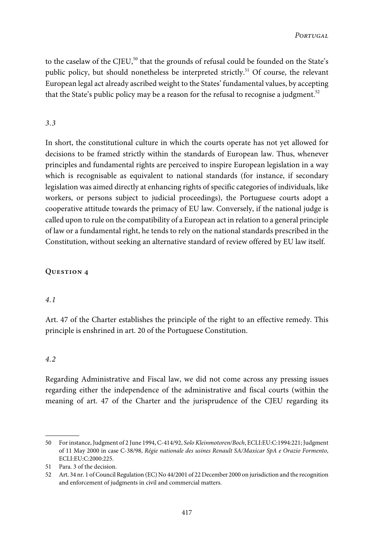to the caselaw of the CJEU,<sup>50</sup> that the grounds of refusal could be founded on the State's public policy, but should nonetheless be interpreted strictly.<sup>51</sup> Of course, the relevant European legal act already ascribed weight to the States' fundamental values, by accepting that the State's public policy may be a reason for the refusal to recognise a judgment.<sup>52</sup>

# 3.3

In short, the constitutional culture in which the courts operate has not yet allowed for decisions to be framed strictly within the standards of European law. Thus, whenever principles and fundamental rights are perceived to inspire European legislation in a way which is recognisable as equivalent to national standards (for instance, if secondary legislation was aimed directly at enhancing rights of specific categories of individuals, like workers, or persons subject to judicial proceedings), the Portuguese courts adopt a cooperative attitude towards the primacy of EU law. Conversely, if the national judge is called upon to rule on the compatibility of a European act in relation to a general principle of law or a fundamental right, he tends to rely on the national standards prescribed in the Constitution, without seeking an alternative standard of review offered by EU law itself.

# **Question 4**

## 4.1

Art. 47 of the Charter establishes the principle of the right to an effective remedy. This principle is enshrined in art. 20 of the Portuguese Constitution.

## 4.2

Regarding Administrative and Fiscal law, we did not come across any pressing issues regarding either the independence of the administrative and fiscal courts (within the meaning of art. 47 of the Charter and the jurisprudence of the CJEU regarding its

<sup>50</sup> Forinstance, Judgment of 2 June 1994, C-414/92, Solo Kleinmotoren/Boch, ECLI:EU:C:1994:221; Judgment of 11 May 2000 in case C-38/98, Régie nationale des usines Renault SA/Maxicar SpA e Orazio Formento, ECLI:EU:C:2000:225.

<sup>51</sup> Para. 3 of the decision.

<sup>52</sup> Art. 34 nr. 1 ofCouncil Regulation (EC) No 44/2001 of 22 December 2000 on jurisdiction and the recognition and enforcement of judgments in civil and commercial matters.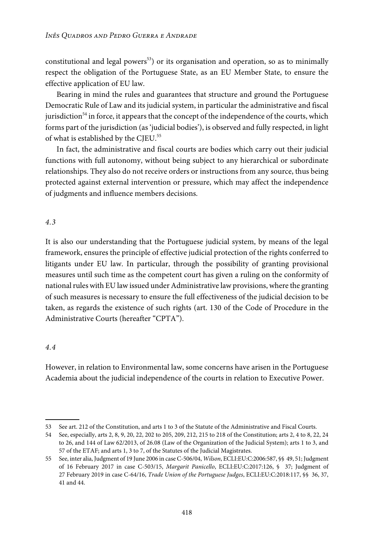constitutional and legal powers<sup>53</sup>) or its organisation and operation, so as to minimally respect the obligation of the Portuguese State, as an EU Member State, to ensure the effective application of EU law.

Bearing in mind the rules and guarantees that structure and ground the Portuguese Democratic Rule of Law and its judicial system, in particular the administrative and fiscal jurisdiction<sup>54</sup> in force, it appears that the concept of the independence of the courts, which forms part of the jurisdiction (as 'judicial bodies'), is observed and fully respected, in light of what is established by the CJEU.<sup>55</sup>

In fact, the administrative and fiscal courts are bodies which carry out their judicial functions with full autonomy, without being subject to any hierarchical or subordinate relationships. They also do not receive orders or instructions from any source, thus being protected against external intervention or pressure, which may affect the independence of judgments and influence members decisions.

# 4.3

It is also our understanding that the Portuguese judicial system, by means of the legal framework, ensures the principle of effective judicial protection of the rights conferred to litigants under EU law. In particular, through the possibility of granting provisional measures until such time as the competent court has given a ruling on the conformity of national rules with EU law issued under Administrative law provisions, where the granting of such measures is necessary to ensure the full effectiveness of the judicial decision to be taken, as regards the existence of such rights (art. 130 of the Code of Procedure in the Administrative Courts (hereafter "CPTA").

## 4.4

However, in relation to Environmental law, some concerns have arisen in the Portuguese Academia about the judicial independence of the courts in relation to Executive Power.

<sup>53</sup> See art. 212 of the Constitution, and arts 1 to 3 of the Statute of the Administrative and Fiscal Courts.

<sup>54</sup> See, especially, arts 2, 8, 9, 20, 22, 202 to 205, 209, 212, 215 to 218 of the Constitution; arts 2, 4 to 8, 22, 24 to 26, and 144 of Law 62/2013, of 26.08 (Law of the Organization of the Judicial System); arts 1 to 3, and 57 of the ETAF; and arts 1, 3 to 7, of the Statutes of the Judicial Magistrates.

<sup>55</sup> See, inter alia,Judgment of 19 June 2006 in caseC-506/04, Wilson, ECLI:EU:C:2006:587, §§ 49, 51;Judgment of 16 February 2017 in case C-503/15, Margarit Panicello, ECLI:EU:C:2017:126, § 37; Judgment of 27 February 2019 in case C-64/16, Trade Union of the Portuguese Judges, ECLI:EU:C:2018:117, §§ 36, 37, 41 and 44.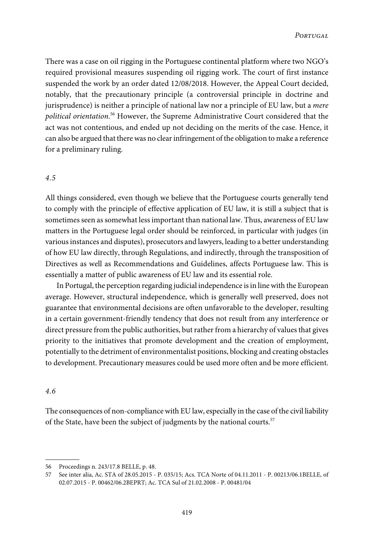There was a case on oil rigging in the Portuguese continental platform where two NGO's required provisional measures suspending oil rigging work. The court of first instance suspended the work by an order dated 12/08/2018. However, the Appeal Court decided, notably, that the precautionary principle (a controversial principle in doctrine and jurisprudence) is neither a principle of national law nor a principle of EU law, but a mere political orientation.<sup>56</sup> However, the Supreme Administrative Court considered that the act was not contentious, and ended up not deciding on the merits of the case. Hence, it can also be argued that therewas no clearinfringement of the obligation to make a reference for a preliminary ruling.

#### 4.5

All things considered, even though we believe that the Portuguese courts generally tend to comply with the principle of effective application of EU law, it is still a subject that is sometimes seen as somewhat less important than national law. Thus, awareness of EU law matters in the Portuguese legal order should be reinforced, in particular with judges (in variousinstances and disputes), prosecutors and lawyers, leading to a better understanding of how EU law directly, through Regulations, and indirectly, through the transposition of Directives as well as Recommendations and Guidelines, affects Portuguese law. This is essentially a matter of public awareness of EU law and its essential role.

In Portugal, the perception regarding judicial independence is in line with the European average. However, structural independence, which is generally well preserved, does not guarantee that environmental decisions are often unfavorable to the developer, resulting in a certain government-friendly tendency that does not result from any interference or direct pressure from the public authorities, but rather from a hierarchy of values that gives priority to the initiatives that promote development and the creation of employment, potentially to the detriment of environmentalist positions, blocking and creating obstacles to development. Precautionary measures could be used more often and be more efficient.

# 4.6

The consequences of non-compliancewith EU law, especially in the case of the civil liability of the State, have been the subject of judgments by the national courts.<sup>57</sup>

<sup>56</sup> Proceedings n. 243/17.8 BELLE, p. 48.

<sup>57</sup> See inter alia, Ac. STA of 28.05.2015 - P. 035/15; Acs. TCA Norte of 04.11.2011 - P. 00213/06.1BELLE, of 02.07.2015 - P. 00462/06.2BEPRT; Ac. TCA Sul of 21.02.2008 - P. 00481/04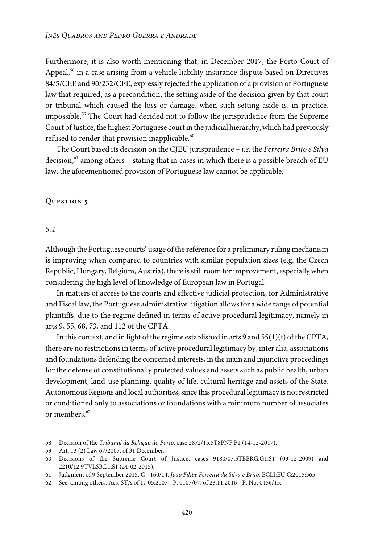Furthermore, it is also worth mentioning that, in December 2017, the Porto Court of Appeal,<sup>58</sup> in a case arising from a vehicle liability insurance dispute based on Directives 84/5/CEE and 90/232/CEE, expressly rejected the application of a provision of Portuguese law that required, as a precondition, the setting aside of the decision given by that court or tribunal which caused the loss or damage, when such setting aside is, in practice, impossible.<sup>59</sup> The Court had decided not to follow the jurisprudence from the Supreme Court of Justice, the highest Portuguese court in the judicial hierarchy, which had previously refused to render that provision inapplicable.<sup>60</sup>

The Court based its decision on the CJEU jurisprudence – *i.e.* the Ferreira Brito e Silva decision,  $61$  among others – stating that in cases in which there is a possible breach of EU law, the aforementioned provision of Portuguese law cannot be applicable.

#### **Question 5**

5.1

Although the Portuguese courts' usage of the reference for a preliminary ruling mechanism is improving when compared to countries with similar population sizes (e.g. the Czech Republic, Hungary, Belgium, Austria), there is still room for improvement, especially when considering the high level of knowledge of European law in Portugal.

In matters of access to the courts and effective judicial protection, for Administrative and Fiscal law, the Portuguese administrative litigation allowsfor awide range of potential plaintiffs, due to the regime defined in terms of active procedural legitimacy, namely in arts 9, 55, 68, 73, and 112 of the CPTA.

In this context, and in light of the regime established in arts 9 and 55(1)(f) of the CPTA, there are no restrictions in terms of active procedural legitimacy by, inter alia, associations and foundations defending the concerned interests, in the main and injunctive proceedings for the defense of constitutionally protected values and assets such as public health, urban development, land-use planning, quality of life, cultural heritage and assets of the State, Autonomous Regions and local authorities, since this procedural legitimacy is not restricted or conditioned only to associations or foundations with a minimum number of associates or members.<sup>62</sup>

<sup>58</sup> Decision of the Tribunal da Relação do Porto, case 2872/15.5T8PNF.P1 (14-12-2017).

<sup>59</sup> Art. 13 (2) Law 67/2007, of 31 December.

<sup>60</sup> Decisions of the Supreme Court of Justice, cases 9180/07.3TBBRG.G1.S1 (03-12-2009) and 2210/12.9TVLSB.L1.S1 (24-02-2015).

<sup>61</sup> Judgment of 9 September 2015, C - 160/14, João Filipe Ferreira da Silva e Brito, ECLI:EU:C:2015:565

<sup>62</sup> See, among others, Acs. STA of 17.05.2007 - P. 0107/07, of 23.11.2016 - P. No. 0456/15.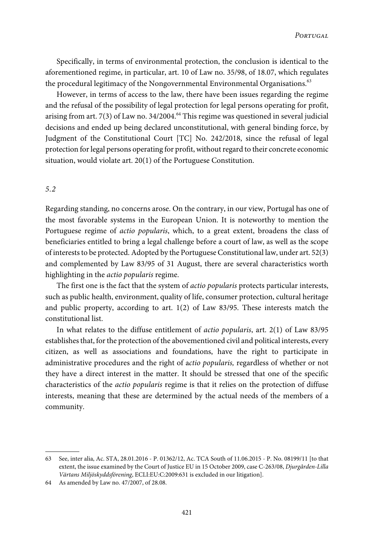Specifically, in terms of environmental protection, the conclusion is identical to the aforementioned regime, in particular, art. 10 of Law no. 35/98, of 18.07, which regulates the procedural legitimacy of the Nongovernmental Environmental Organisations.<sup>63</sup>

However, in terms of access to the law, there have been issues regarding the regime and the refusal of the possibility of legal protection for legal persons operating for profit, arising from art. 7(3) of Law no.  $34/2004$ .<sup>64</sup> This regime was questioned in several judicial decisions and ended up being declared unconstitutional, with general binding force, by Judgment of the Constitutional Court [TC] No. 242/2018, since the refusal of legal protection for legal persons operating for profit, without regard to their concrete economic situation, would violate art. 20(1) of the Portuguese Constitution.

## 5.2

Regarding standing, no concerns arose. On the contrary, in our view, Portugal has one of the most favorable systems in the European Union. It is noteworthy to mention the Portuguese regime of actio popularis, which, to a great extent, broadens the class of beneficiaries entitled to bring a legal challenge before a court of law, as well as the scope of intereststo be protected.Adopted by the Portuguese Constitutional law, under art. 52(3) and complemented by Law 83/95 of 31 August, there are several characteristics worth highlighting in the actio popularis regime.

The first one is the fact that the system of actio popularis protects particular interests, such as public health, environment, quality of life, consumer protection, cultural heritage and public property, according to art. 1(2) of Law 83/95. These interests match the constitutional list.

In what relates to the diffuse entitlement of actio popularis, art. 2(1) of Law 83/95 establishes that, for the protection of the abovementioned civil and political interests, every citizen, as well as associations and foundations, have the right to participate in administrative procedures and the right of actio popularis, regardless of whether or not they have a direct interest in the matter. It should be stressed that one of the specific characteristics of the actio popularis regime is that it relies on the protection of diffuse interests, meaning that these are determined by the actual needs of the members of a community.

<sup>63</sup> See, inter alia, Ac. STA, 28.01.2016 - P. 01362/12, Ac. TCA South of 11.06.2015 - P. No. 08199/11 [to that extent, the issue examined by the Court of Justice EU in 15 October 2009, case C-263/08, Djurgården-Lilla Värtans Miljöskyddsförening, ECLI:EU:C:2009:631 is excluded in our litigation].

<sup>64</sup> As amended by Law no. 47/2007, of 28.08.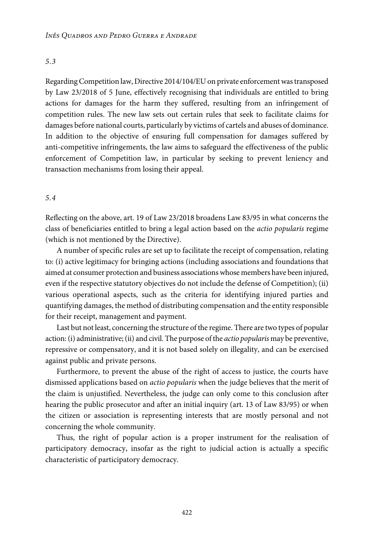## 5.3

Regarding Competition law, Directive 2014/104/EU on private enforcement was transposed by Law 23/2018 of 5 June, effectively recognising that individuals are entitled to bring actions for damages for the harm they suffered, resulting from an infringement of competition rules. The new law sets out certain rules that seek to facilitate claims for damages before national courts, particularly by victims of cartels and abuses of dominance. In addition to the objective of ensuring full compensation for damages suffered by anti-competitive infringements, the law aims to safeguard the effectiveness of the public enforcement of Competition law, in particular by seeking to prevent leniency and transaction mechanisms from losing their appeal.

## 5.4

Reflecting on the above, art. 19 of Law 23/2018 broadens Law 83/95 in what concerns the class of beneficiaries entitled to bring a legal action based on the actio popularis regime (which is not mentioned by the Directive).

A number of specific rules are set up to facilitate the receipt of compensation, relating to: (i) active legitimacy for bringing actions (including associations and foundations that aimed at consumer protection and business associationswhose members have been injured, even if the respective statutory objectives do not include the defense of Competition); (ii) various operational aspects, such as the criteria for identifying injured parties and quantifying damages, the method of distributing compensation and the entity responsible for their receipt, management and payment.

Last but not least, concerning the structure of the regime. There are two types of popular action: (i) administrative; (ii) and civil. The purpose of the *actio popularis* may be preventive, repressive or compensatory, and it is not based solely on illegality, and can be exercised against public and private persons.

Furthermore, to prevent the abuse of the right of access to justice, the courts have dismissed applications based on actio popularis when the judge believes that the merit of the claim is unjustified. Nevertheless, the judge can only come to this conclusion after hearing the public prosecutor and after an initial inquiry (art. 13 of Law 83/95) or when the citizen or association is representing interests that are mostly personal and not concerning the whole community.

Thus, the right of popular action is a proper instrument for the realisation of participatory democracy, insofar as the right to judicial action is actually a specific characteristic of participatory democracy.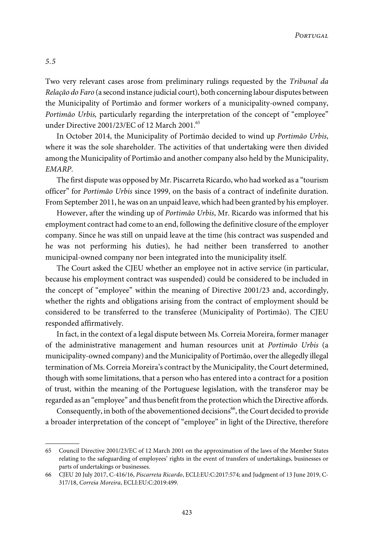Two very relevant cases arose from preliminary rulings requested by the Tribunal da Relação do Faro (a second instance judicial court), both concerning labour disputes between the Municipality of Portimão and former workers of a municipality-owned company, Portimão Urbis, particularly regarding the interpretation of the concept of "employee" under Directive 2001/23/EC of 12 March 2001.<sup>65</sup>

In October 2014, the Municipality of Portimão decided to wind up Portimão Urbis, where it was the sole shareholder. The activities of that undertaking were then divided among the Municipality of Portimão and another company also held by the Municipality, EMARP.

The first dispute was opposed by Mr. Piscarreta Ricardo, who had worked as a "tourism officer" for Portimão Urbis since 1999, on the basis of a contract of indefinite duration. From September 2011, he was on an unpaid leave, which had been granted by his employer.

However, after the winding up of Portimão Urbis, Mr. Ricardo was informed that his employment contract had come to an end, following the definitive closure of the employer company. Since he was still on unpaid leave at the time (his contract was suspended and he was not performing his duties), he had neither been transferred to another municipal-owned company nor been integrated into the municipality itself.

The Court asked the CJEU whether an employee not in active service (in particular, because his employment contract was suspended) could be considered to be included in the concept of "employee" within the meaning of Directive 2001/23 and, accordingly, whether the rights and obligations arising from the contract of employment should be considered to be transferred to the transferee (Municipality of Portimão). The CJEU responded affirmatively.

In fact, in the context of a legal dispute between Ms. Correia Moreira, former manager of the administrative management and human resources unit at Portimão Urbis (a municipality-owned company) and the Municipality of Portimão, overthe allegedly illegal termination of Ms. Correia Moreira's contract by the Municipality, the Court determined, though with some limitations, that a person who has entered into a contract for a position of trust, within the meaning of the Portuguese legislation, with the transferor may be regarded as an "employee" and thus benefit from the protectionwhich the Directive affords.

Consequently, in both of the abovementioned decisions<sup>66</sup>, the Court decided to provide a broader interpretation of the concept of "employee" in light of the Directive, therefore

5.5

<sup>65</sup> Council Directive 2001/23/EC of 12 March 2001 on the approximation of the laws of the Member States relating to the safeguarding of employees' rights in the event of transfers of undertakings, businesses or parts of undertakings or businesses.

<sup>66</sup> CJEU 20 July 2017, C-416/16, Piscarreta Ricardo, ECLI:EU:C:2017:574; and Judgment of 13 June 2019, C-317/18, Correia Moreira, ECLI:EU:C:2019:499.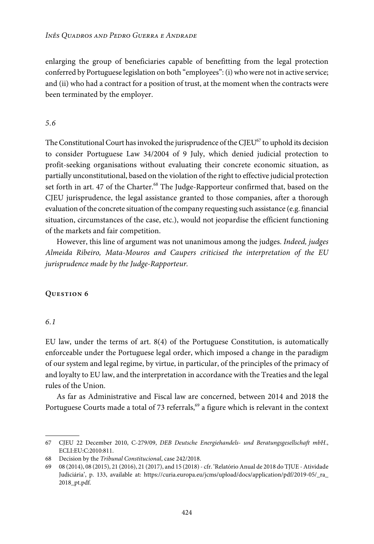enlarging the group of beneficiaries capable of benefitting from the legal protection conferred by Portuguese legislation on both "employees":(i)whowere not in active service; and (ii) who had a contract for a position of trust, at the moment when the contracts were been terminated by the employer.

# 5.6

The Constitutional Court has invoked the jurisprudence of the CJEU $^{67}$  to uphold its decision to consider Portuguese Law 34/2004 of 9 July, which denied judicial protection to profit-seeking organisations without evaluating their concrete economic situation, as partially unconstitutional, based on the violation of the right to effective judicial protection set forth in art. 47 of the Charter.<sup>68</sup> The Judge-Rapporteur confirmed that, based on the CJEU jurisprudence, the legal assistance granted to those companies, after a thorough evaluation of the concrete situation of the company requesting such assistance (e.g. financial situation, circumstances of the case, etc.), would not jeopardise the efficient functioning of the markets and fair competition.

However, this line of argument was not unanimous among the judges. Indeed, judges Almeida Ribeiro, Mata-Mouros and Caupers criticised the interpretation of the EU jurisprudence made by the Judge-Rapporteur.

## **Question 6**

# 6.1

EU law, under the terms of art. 8(4) of the Portuguese Constitution, is automatically enforceable under the Portuguese legal order, which imposed a change in the paradigm of our system and legal regime, by virtue, in particular, of the principles of the primacy of and loyalty to EU law, and the interpretation in accordance with the Treaties and the legal rules of the Union.

As far as Administrative and Fiscal law are concerned, between 2014 and 2018 the Portuguese Courts made a total of 73 referrals,<sup>69</sup> a figure which is relevant in the context

<sup>67</sup> CJEU 22 December 2010, C-279/09, DEB Deutsche Energiehandels- und Beratungsgesellschaft mbH., ECLI:EU:C:2010:811.

<sup>68</sup> Decision by the Tribunal Constitucional, case 242/2018.

<sup>69</sup> 08 (2014), 08 (2015), 21 (2016), 21 (2017), and 15 (2018)- cfr. 'RelatórioAnual de 2018 do TJUE -Atividade Judiciária', p. 133, available at: [https://curia.europa.eu/jcms/upload/docs/application/pdf/2019-05/\\_ra\\_](https://curia.europa.eu/jcms/upload/docs/application/pdf/2019-05/_ra_2018_pt.pdf) [2018\\_pt.pdf](https://curia.europa.eu/jcms/upload/docs/application/pdf/2019-05/_ra_2018_pt.pdf).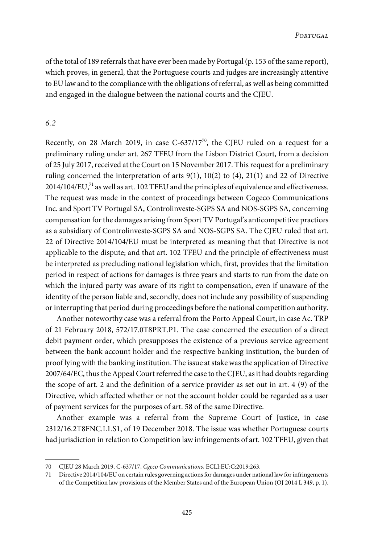of the total of 189 referrals that have ever been made by Portugal (p. 153 of the same report), which proves, in general, that the Portuguese courts and judges are increasingly attentive to EU law and to the compliance with the obligations of referral, as well as being committed and engaged in the dialogue between the national courts and the CJEU.

# 6.2

Recently, on 28 March 2019, in case  $C$ -637/17<sup>70</sup>, the CJEU ruled on a request for a preliminary ruling under art. 267 TFEU from the Lisbon District Court, from a decision of 25 July 2017, received at the Court on 15 November 2017. This request for a preliminary ruling concerned the interpretation of arts  $9(1)$ ,  $10(2)$  to  $(4)$ ,  $21(1)$  and 22 of Directive  $2014/104/EU<sub>1</sub><sup>71</sup>$  as well as art. 102 TFEU and the principles of equivalence and effectiveness. The request was made in the context of proceedings between Cogeco Communications Inc. and Sport TV Portugal SA, Controlinveste-SGPS SA and NOS-SGPS SA, concerning compensation forthe damages arising from Sport TV Portugal's anticompetitive practices as a subsidiary of Controlinveste-SGPS SA and NOS-SGPS SA. The CJEU ruled that art. 22 of Directive 2014/104/EU must be interpreted as meaning that that Directive is not applicable to the dispute; and that art. 102 TFEU and the principle of effectiveness must be interpreted as precluding national legislation which, first, provides that the limitation period in respect of actions for damages is three years and starts to run from the date on which the injured party was aware of its right to compensation, even if unaware of the identity of the person liable and, secondly, does not include any possibility of suspending or interrupting that period during proceedings before the national competition authority.

Another noteworthy case was a referral from the Porto Appeal Court, in case Ac. TRP of 21 February 2018, 572/17.0T8PRT.P1. The case concerned the execution of a direct debit payment order, which presupposes the existence of a previous service agreement between the bank account holder and the respective banking institution, the burden of proof lying with the banking institution. The issue at stake was the application of Directive 2007/64/EC, thus the Appeal Court referred the case to the CJEU, as it had doubts regarding the scope of art. 2 and the definition of a service provider as set out in art. 4 (9) of the Directive, which affected whether or not the account holder could be regarded as a user of payment services for the purposes of art. 58 of the same Directive.

Another example was a referral from the Supreme Court of Justice, in case 2312/16.2T8FNC.L1.S1, of 19 December 2018. The issue was whether Portuguese courts had jurisdiction in relation to Competition law infringements of art. 102 TFEU, given that

<sup>70</sup> CJEU 28 March 2019, C-637/17, Cgeco Communications, ECLI:EU:C:2019:263.

<sup>71</sup> Directive 2014/104/EU on certain rules governing actionsfor damages under national lawforinfringements of the Competition law provisions of the Member States and of the European Union (OJ 2014 L 349, p. 1).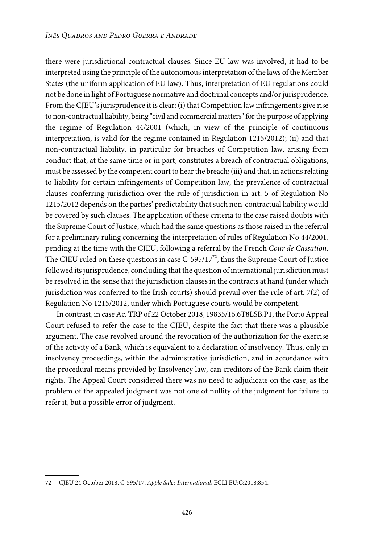there were jurisdictional contractual clauses. Since EU law was involved, it had to be interpreted using the principle of the autonomousinterpretation of the laws of the Member States (the uniform application of EU law). Thus, interpretation of EU regulations could not be done in light of Portuguese normative and doctrinal concepts and/or jurisprudence. From the CJEU's jurisprudence it is clear: (i) that Competition law infringements give rise to non-contractual liability, being "civil and commercial matters" for the purpose of applying the regime of Regulation 44/2001 (which, in view of the principle of continuous interpretation, is valid for the regime contained in Regulation 1215/2012); (ii) and that non-contractual liability, in particular for breaches of Competition law, arising from conduct that, at the same time or in part, constitutes a breach of contractual obligations, must be assessed by the competent court to hear the breach; (iii) and that, in actions relating to liability for certain infringements of Competition law, the prevalence of contractual clauses conferring jurisdiction over the rule of jurisdiction in art. 5 of Regulation No 1215/2012 depends on the parties' predictability that such non-contractual liability would be covered by such clauses. The application of these criteria to the case raised doubts with the Supreme Court of Justice, which had the same questions as those raised in the referral for a preliminary ruling concerning the interpretation of rules of Regulation No 44/2001, pending at the time with the CJEU, following a referral by the French Cour de Cassation. The CJEU ruled on these questions in case C-595/17 $^{\prime\prime}$ , thus the Supreme Court of Justice followed its jurisprudence, concluding that the question of international jurisdiction must be resolved in the sense that the jurisdiction clauses in the contracts at hand (under which jurisdiction was conferred to the Irish courts) should prevail over the rule of art. 7(2) of Regulation No 1215/2012, under which Portuguese courts would be competent.

In contrast, in case Ac. TRP of 22 October 2018, 19835/16.6T8LSB.P1, the Porto Appeal Court refused to refer the case to the CJEU, despite the fact that there was a plausible argument. The case revolved around the revocation of the authorization for the exercise of the activity of a Bank, which is equivalent to a declaration of insolvency. Thus, only in insolvency proceedings, within the administrative jurisdiction, and in accordance with the procedural means provided by Insolvency law, can creditors of the Bank claim their rights. The Appeal Court considered there was no need to adjudicate on the case, as the problem of the appealed judgment was not one of nullity of the judgment for failure to refer it, but a possible error of judgment.

<sup>72</sup> CJEU 24 October 2018, C-595/17, Apple Sales International, ECLI:EU:C:2018:854.